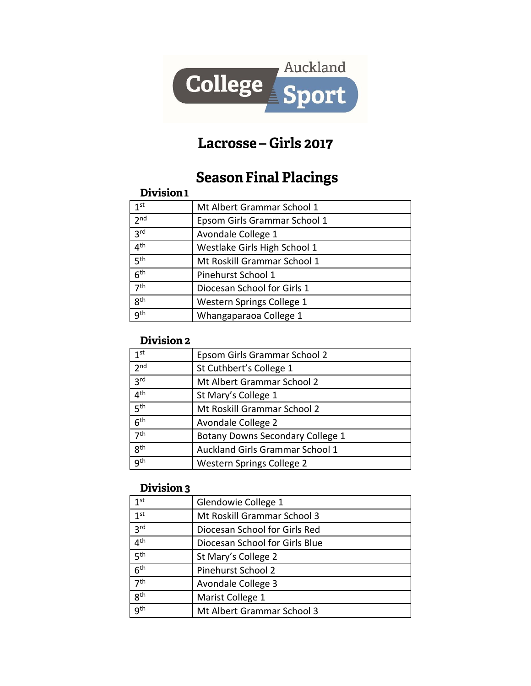

# Lacrosse - Girls 2017

# **Season Final Placings**

#### Division 1

| 1 <sup>st</sup> | Mt Albert Grammar School 1   |
|-----------------|------------------------------|
| 2 <sub>nd</sub> | Epsom Girls Grammar School 1 |
| 3 <sup>rd</sup> | Avondale College 1           |
| 4 <sup>th</sup> | Westlake Girls High School 1 |
| 5 <sup>th</sup> | Mt Roskill Grammar School 1  |
| 6 <sup>th</sup> | Pinehurst School 1           |
| 7 <sup>th</sup> | Diocesan School for Girls 1  |
| 8 <sup>th</sup> | Western Springs College 1    |
| <b>gth</b>      | Whangaparaoa College 1       |

### Division 2

| 1 <sup>st</sup> | Epsom Girls Grammar School 2     |
|-----------------|----------------------------------|
| 2 <sub>nd</sub> | St Cuthbert's College 1          |
| 3 <sup>rd</sup> | Mt Albert Grammar School 2       |
| 4 <sup>th</sup> | St Mary's College 1              |
| 5 <sup>th</sup> | Mt Roskill Grammar School 2      |
| 6 <sup>th</sup> | Avondale College 2               |
| 7 <sup>th</sup> | Botany Downs Secondary College 1 |
| 8 <sup>th</sup> | Auckland Girls Grammar School 1  |
| gth             | Western Springs College 2        |

#### Division 3

| .               |                                |
|-----------------|--------------------------------|
| 1 <sup>st</sup> | Glendowie College 1            |
| 1 <sup>st</sup> | Mt Roskill Grammar School 3    |
| 3 <sup>rd</sup> | Diocesan School for Girls Red  |
| 4 <sup>th</sup> | Diocesan School for Girls Blue |
| 5 <sup>th</sup> | St Mary's College 2            |
| 6 <sup>th</sup> | Pinehurst School 2             |
| 7 <sup>th</sup> | Avondale College 3             |
| 8 <sup>th</sup> | Marist College 1               |
| gth             | Mt Albert Grammar School 3     |